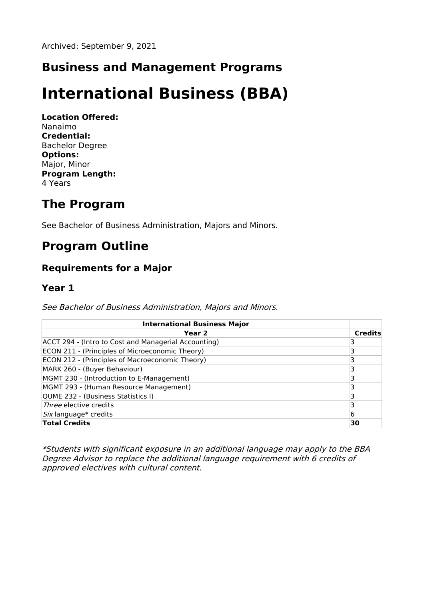### **Business and Management Programs**

# **International Business (BBA)**

**Location Offered:** Nanaimo **Credential:** Bachelor Degree **Options:** Major, Minor **Program Length:** 4 Years

## **The Program**

See Bachelor of Business Administration, Majors and Minors.

# **Program Outline**

#### **Requirements for a Major**

#### **Year 1**

See Bachelor of Business Administration, Majors and Minors.

| <b>International Business Major</b>                  |                |
|------------------------------------------------------|----------------|
| Year <sub>2</sub>                                    | <b>Credits</b> |
| ACCT 294 - (Intro to Cost and Managerial Accounting) |                |
| ECON 211 - (Principles of Microeconomic Theory)      |                |
| ECON 212 - (Principles of Macroeconomic Theory)      |                |
| MARK 260 - (Buyer Behaviour)                         |                |
| MGMT 230 - (Introduction to E-Management)            |                |
| MGMT 293 - (Human Resource Management)               |                |
| QUME 232 - (Business Statistics I)                   |                |
| Three elective credits                               |                |
| Six language* credits                                | 6              |
| <b>Total Credits</b>                                 | 30             |

\*Students with significant exposure in an additional language may apply to the BBA Degree Advisor to replace the additional language requirement with 6 credits of approved electives with cultural content.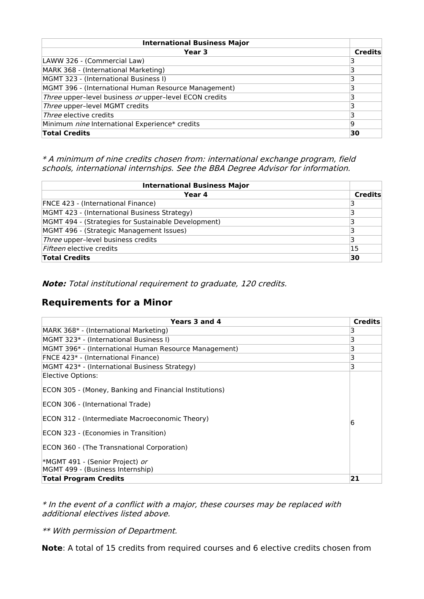| <b>International Business Major</b>                    |                |
|--------------------------------------------------------|----------------|
| Year 3                                                 | <b>Credits</b> |
| LAWW 326 - (Commercial Law)                            |                |
| MARK 368 - (International Marketing)                   |                |
| MGMT 323 - (International Business I)                  |                |
| MGMT 396 - (International Human Resource Management)   |                |
| Three upper-level business or upper-level ECON credits |                |
| Three upper-level MGMT credits                         |                |
| <i>Three</i> elective credits                          |                |
| Minimum nine International Experience* credits         | 19             |
| <b>Total Credits</b>                                   | 30             |

\* A minimum of nine credits chosen from: international exchange program, field schools, international internships. See the BBA Degree Advisor for information.

| <b>International Business Major</b>                 |         |
|-----------------------------------------------------|---------|
| Year 4                                              | Credits |
| <b>FNCE 423 - (International Finance)</b>           | 3       |
| MGMT 423 - (International Business Strategy)        | 3       |
| MGMT 494 - (Strategies for Sustainable Development) | 3       |
| MGMT 496 - (Strategic Management Issues)            |         |
| Three upper-level business credits                  |         |
| Fifteen elective credits                            | 15      |
| <b>Total Credits</b>                                | 30      |

**Note:** Total institutional requirement to graduate, 120 credits.

#### **Requirements for a Minor**

| Years 3 and 4                                          | <b>Credits</b> |
|--------------------------------------------------------|----------------|
| MARK 368* - (International Marketing)                  | 3              |
| MGMT 323* - (International Business I)                 | 3              |
| MGMT 396* - (International Human Resource Management)  | 3              |
| FNCE 423* - (International Finance)                    | 3              |
| MGMT 423* - (International Business Strategy)          | 3              |
| Elective Options:                                      |                |
| ECON 305 - (Money, Banking and Financial Institutions) |                |
| ECON 306 - (International Trade)                       |                |
| ECON 312 - (Intermediate Macroeconomic Theory)         | 6              |
| ECON 323 - (Economies in Transition)                   |                |
| ECON 360 - (The Transnational Corporation)             |                |
| *MGMT 491 - (Senior Project) <i>or</i>                 |                |
| MGMT 499 - (Business Internship)                       |                |
| <b>Total Program Credits</b>                           | 21             |

\* In the event of <sup>a</sup> conflict with <sup>a</sup> major, these courses may be replaced with additional electives listed above.

\*\* With permission of Department.

**Note**: A total of 15 credits from required courses and 6 elective credits chosen from